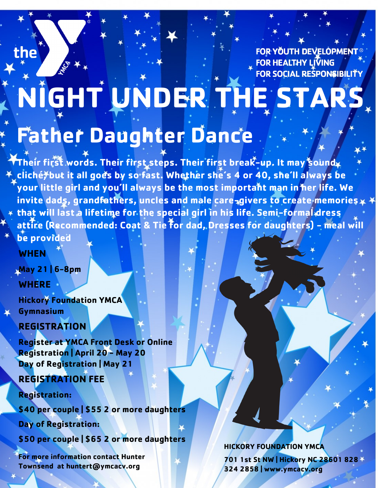the

**FOR YOUTH DEVELOPMENT FOR HEALTHY LIVING** FOR SOCIAL RESPONSIBILITY

## **NIGHT UNDER THE STARS Father Daughter Dance**

**Their first words. Their first steps. Their first break-up. It may sound cliché, but it all goes by so fast. Whether she's 4 or 40, she'll always be your little girl and you'll always be the most important man in her life. We invite dads, grandfathers, uncles and male care-givers to create memories that will last a lifetime for the special girl in his life. Semi-formal dress attire (Recommended: Coat & Tie for dad, Dresses for daughters) - meal will be provided**

**WHEN** 

**May 21 | 6-8pm WHERE** 

**Hickory Foundation YMCA Gymnasium** 

**REGISTRATION** 

**Register at YMCA Front Desk or Online Registration | April 20 - May 20 Day of Registration | May 21**

**REGISTRATION FEE** 

**Registration:** 

**\$40 per couple | \$55 2 or more daughters**

**Day of Registration:** 

**\$50 per couple | \$65 2 or more daughters**

**For more information contact Hunter Townsend at huntert@ymcacv.org**

**HICKORY FOUNDATION YMCA** 

**701 1st St NW | Hickory NC 28601 828 324 2858 | www.ymcacv.org**